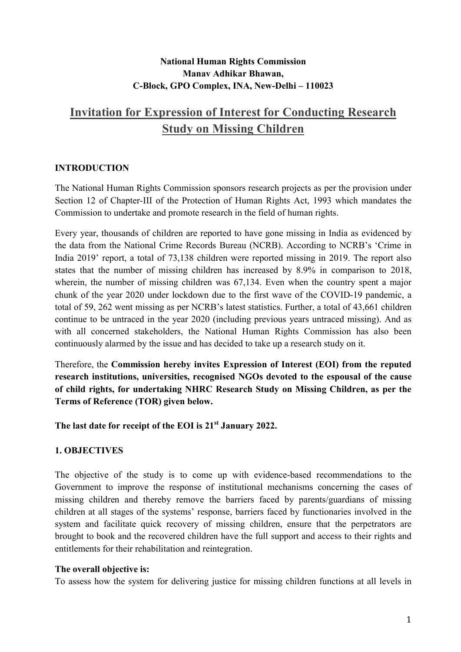# National Human Rights Commission Manav Adhikar Bhawan, C-Block, GPO Complex, INA, New-Delhi – 110023

# Invitation for Expression of Interest for Conducting Research Study on Missing Children

# **INTRODUCTION**

The National Human Rights Commission sponsors research projects as per the provision under Section 12 of Chapter-III of the Protection of Human Rights Act, 1993 which mandates the Commission to undertake and promote research in the field of human rights.

Every year, thousands of children are reported to have gone missing in India as evidenced by the data from the National Crime Records Bureau (NCRB). According to NCRB's 'Crime in India 2019' report, a total of 73,138 children were reported missing in 2019. The report also states that the number of missing children has increased by 8.9% in comparison to 2018, wherein, the number of missing children was 67,134. Even when the country spent a major chunk of the year 2020 under lockdown due to the first wave of the COVID-19 pandemic, a total of 59, 262 went missing as per NCRB's latest statistics. Further, a total of 43,661 children continue to be untraced in the year 2020 (including previous years untraced missing). And as with all concerned stakeholders, the National Human Rights Commission has also been continuously alarmed by the issue and has decided to take up a research study on it.

Therefore, the Commission hereby invites Expression of Interest (EOI) from the reputed research institutions, universities, recognised NGOs devoted to the espousal of the cause of child rights, for undertaking NHRC Research Study on Missing Children, as per the Terms of Reference (TOR) given below.

The last date for receipt of the EOI is 21<sup>st</sup> January 2022.

# 1. OBJECTIVES

The objective of the study is to come up with evidence-based recommendations to the Government to improve the response of institutional mechanisms concerning the cases of missing children and thereby remove the barriers faced by parents/guardians of missing children at all stages of the systems' response, barriers faced by functionaries involved in the system and facilitate quick recovery of missing children, ensure that the perpetrators are brought to book and the recovered children have the full support and access to their rights and entitlements for their rehabilitation and reintegration.

### The overall objective is:

To assess how the system for delivering justice for missing children functions at all levels in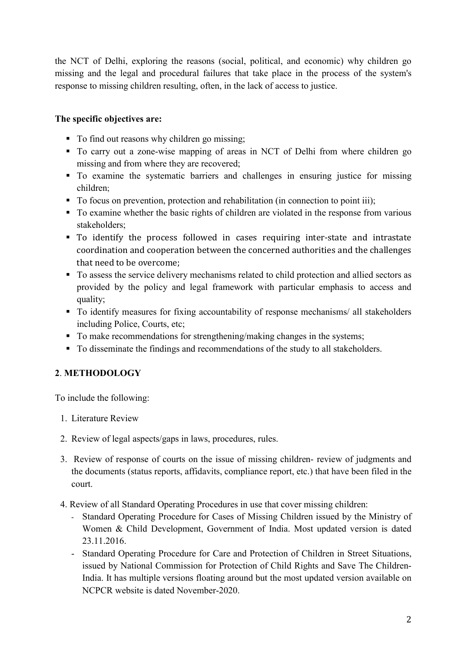the NCT of Delhi, exploring the reasons (social, political, and economic) why children go missing and the legal and procedural failures that take place in the process of the system's response to missing children resulting, often, in the lack of access to justice.

# The specific objectives are:

- To find out reasons why children go missing;
- To carry out a zone-wise mapping of areas in NCT of Delhi from where children go missing and from where they are recovered;
- To examine the systematic barriers and challenges in ensuring justice for missing children;
- To focus on prevention, protection and rehabilitation (in connection to point iii);
- To examine whether the basic rights of children are violated in the response from various stakeholders;
- To identify the process followed in cases requiring inter-state and intrastate coordination and cooperation between the concerned authorities and the challenges that need to be overcome;
- $\blacksquare$  To assess the service delivery mechanisms related to child protection and allied sectors as provided by the policy and legal framework with particular emphasis to access and quality;
- To identify measures for fixing accountability of response mechanisms/ all stakeholders including Police, Courts, etc;
- To make recommendations for strengthening/making changes in the systems;
- To disseminate the findings and recommendations of the study to all stakeholders.

# 2. METHODOLOGY

To include the following:

- 1. Literature Review
- 2. Review of legal aspects/gaps in laws, procedures, rules.
- 3. Review of response of courts on the issue of missing children- review of judgments and the documents (status reports, affidavits, compliance report, etc.) that have been filed in the court.
- 4. Review of all Standard Operating Procedures in use that cover missing children:
	- Standard Operating Procedure for Cases of Missing Children issued by the Ministry of Women & Child Development, Government of India. Most updated version is dated 23.11.2016.
	- Standard Operating Procedure for Care and Protection of Children in Street Situations, issued by National Commission for Protection of Child Rights and Save The Children-India. It has multiple versions floating around but the most updated version available on NCPCR website is dated November-2020.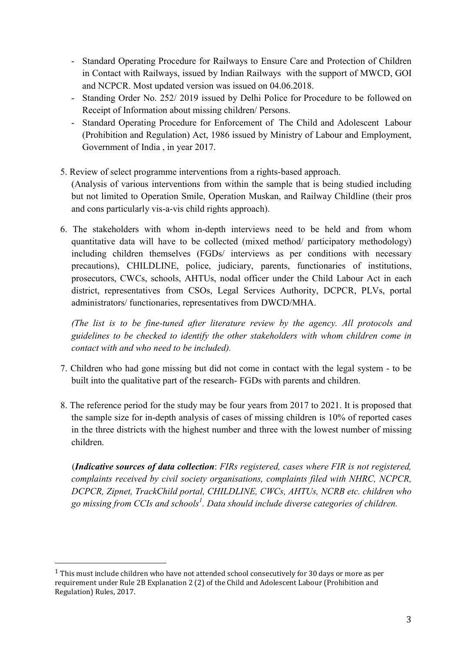- Standard Operating Procedure for Railways to Ensure Care and Protection of Children in Contact with Railways, issued by Indian Railways with the support of MWCD, GOI and NCPCR. Most updated version was issued on 04.06.2018.
- Standing Order No. 252/ 2019 issued by Delhi Police for Procedure to be followed on Receipt of Information about missing children/ Persons.
- Standard Operating Procedure for Enforcement of The Child and Adolescent Labour (Prohibition and Regulation) Act, 1986 issued by Ministry of Labour and Employment, Government of India , in year 2017.
- 5. Review of select programme interventions from a rights-based approach. (Analysis of various interventions from within the sample that is being studied including but not limited to Operation Smile, Operation Muskan, and Railway Childline (their pros and cons particularly vis-a-vis child rights approach).
- 6. The stakeholders with whom in-depth interviews need to be held and from whom quantitative data will have to be collected (mixed method/ participatory methodology) including children themselves (FGDs/ interviews as per conditions with necessary precautions), CHILDLINE, police, judiciary, parents, functionaries of institutions, prosecutors, CWCs, schools, AHTUs, nodal officer under the Child Labour Act in each district, representatives from CSOs, Legal Services Authority, DCPCR, PLVs, portal administrators/ functionaries, representatives from DWCD/MHA.

(The list is to be fine-tuned after literature review by the agency. All protocols and guidelines to be checked to identify the other stakeholders with whom children come in contact with and who need to be included).

- 7. Children who had gone missing but did not come in contact with the legal system to be built into the qualitative part of the research- FGDs with parents and children.
- 8. The reference period for the study may be four years from 2017 to 2021. It is proposed that the sample size for in-depth analysis of cases of missing children is 10% of reported cases in the three districts with the highest number and three with the lowest number of missing children.

 (Indicative sources of data collection: FIRs registered, cases where FIR is not registered, complaints received by civil society organisations, complaints filed with NHRC, NCPCR, DCPCR, Zipnet, TrackChild portal, CHILDLINE, CWCs, AHTUs, NCRB etc. children who go missing from CCIs and schools<sup>1</sup>. Data should include diverse categories of children.

-

<sup>&</sup>lt;sup>1</sup> This must include children who have not attended school consecutively for 30 days or more as per requirement under Rule 2B Explanation 2 (2) of the Child and Adolescent Labour (Prohibition and Regulation) Rules, 2017.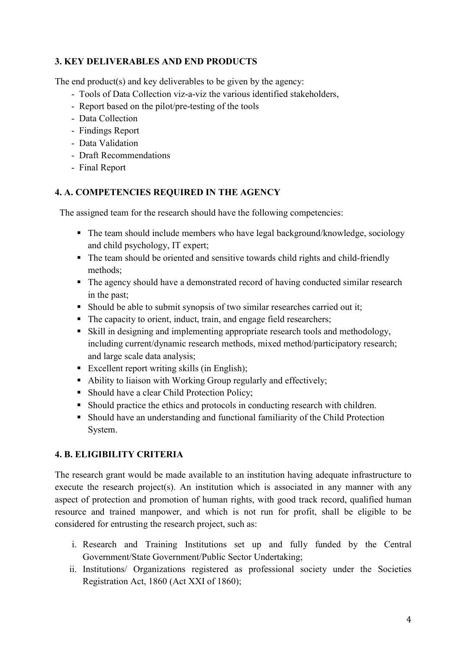# 3. KEY DELIVERABLES AND END PRODUCTS

The end product(s) and key deliverables to be given by the agency:

- Tools of Data Collection viz-a-viz the various identified stakeholders,
- Report based on the pilot/pre-testing of the tools
- Data Collection
- Findings Report
- Data Validation
- Draft Recommendations
- Final Report

# 4. A. COMPETENCIES REQUIRED IN THE AGENCY

The assigned team for the research should have the following competencies:

- The team should include members who have legal background/knowledge, sociology and child psychology, IT expert;
- The team should be oriented and sensitive towards child rights and child-friendly methods;
- The agency should have a demonstrated record of having conducted similar research in the past;
- Should be able to submit synopsis of two similar researches carried out it;
- The capacity to orient, induct, train, and engage field researchers;
- Skill in designing and implementing appropriate research tools and methodology, including current/dynamic research methods, mixed method/participatory research; and large scale data analysis;
- Excellent report writing skills (in English);
- Ability to liaison with Working Group regularly and effectively;
- Should have a clear Child Protection Policy;
- Should practice the ethics and protocols in conducting research with children.
- Should have an understanding and functional familiarity of the Child Protection System.

# 4. B. ELIGIBILITY CRITERIA

The research grant would be made available to an institution having adequate infrastructure to execute the research project(s). An institution which is associated in any manner with any aspect of protection and promotion of human rights, with good track record, qualified human resource and trained manpower, and which is not run for profit, shall be eligible to be considered for entrusting the research project, such as:

- i. Research and Training Institutions set up and fully funded by the Central Government/State Government/Public Sector Undertaking;
- ii. Institutions/ Organizations registered as professional society under the Societies Registration Act, 1860 (Act XXI of 1860);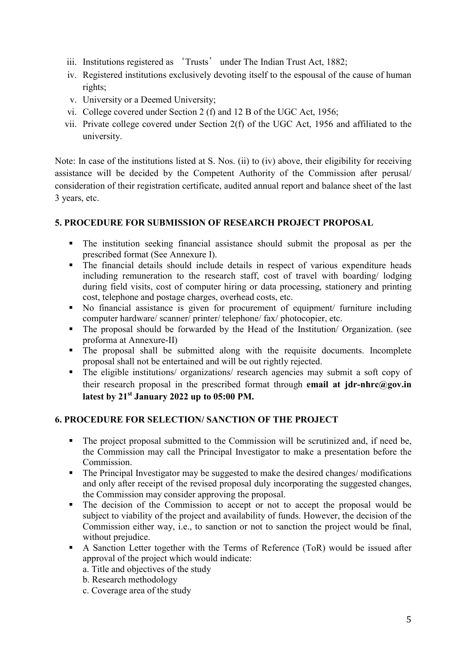- iii. Institutions registered as 'Trusts' under The Indian Trust Act, 1882;
- iv. Registered institutions exclusively devoting itself to the espousal of the cause of human rights;
- v. University or a Deemed University;
- vi. College covered under Section 2 (f) and 12 B of the UGC Act, 1956;
- vii. Private college covered under Section 2(f) of the UGC Act, 1956 and affiliated to the university.

Note: In case of the institutions listed at S. Nos. (ii) to (iv) above, their eligibility for receiving assistance will be decided by the Competent Authority of the Commission after perusal/ consideration of their registration certificate, audited annual report and balance sheet of the last 3 years, etc.

# 5. PROCEDURE FOR SUBMISSION OF RESEARCH PROJECT PROPOSAL

- The institution seeking financial assistance should submit the proposal as per the prescribed format (See Annexure I).
- The financial details should include details in respect of various expenditure heads including remuneration to the research staff, cost of travel with boarding/ lodging during field visits, cost of computer hiring or data processing, stationery and printing cost, telephone and postage charges, overhead costs, etc.
- No financial assistance is given for procurement of equipment/ furniture including computer hardware/ scanner/ printer/ telephone/ fax/ photocopier, etc.
- The proposal should be forwarded by the Head of the Institution/ Organization. (see proforma at Annexure-II)
- The proposal shall be submitted along with the requisite documents. Incomplete proposal shall not be entertained and will be out rightly rejected.
- The eligible institutions/ organizations/ research agencies may submit a soft copy of their research proposal in the prescribed format through email at  $\textbf{idr-hhrc@gov.in}$ latest by  $21<sup>st</sup>$  January 2022 up to 05:00 PM.

# 6. PROCEDURE FOR SELECTION/ SANCTION OF THE PROJECT

- The project proposal submitted to the Commission will be scrutinized and, if need be, the Commission may call the Principal Investigator to make a presentation before the Commission.
- The Principal Investigator may be suggested to make the desired changes/ modifications and only after receipt of the revised proposal duly incorporating the suggested changes, the Commission may consider approving the proposal.
- The decision of the Commission to accept or not to accept the proposal would be subject to viability of the project and availability of funds. However, the decision of the Commission either way, i.e., to sanction or not to sanction the project would be final, without prejudice.
- A Sanction Letter together with the Terms of Reference (ToR) would be issued after approval of the project which would indicate:
	- a. Title and objectives of the study
	- b. Research methodology
	- c. Coverage area of the study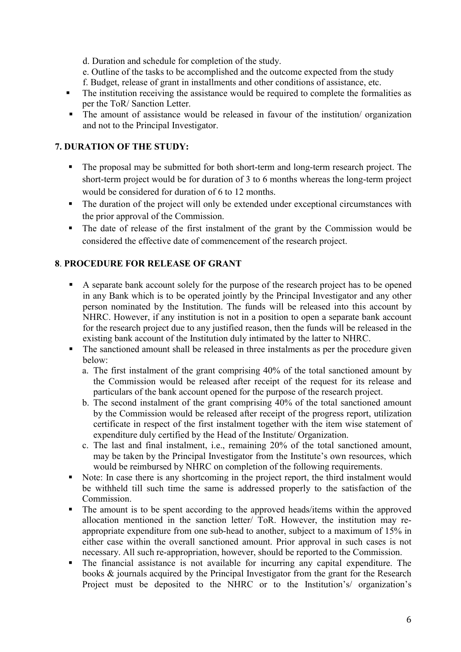d. Duration and schedule for completion of the study.

- e. Outline of the tasks to be accomplished and the outcome expected from the study
- f. Budget, release of grant in installments and other conditions of assistance, etc.
- The institution receiving the assistance would be required to complete the formalities as per the ToR/ Sanction Letter.
- The amount of assistance would be released in favour of the institution/ organization and not to the Principal Investigator.

# 7. DURATION OF THE STUDY:

- The proposal may be submitted for both short-term and long-term research project. The short-term project would be for duration of 3 to 6 months whereas the long-term project would be considered for duration of 6 to 12 months.
- The duration of the project will only be extended under exceptional circumstances with the prior approval of the Commission.
- The date of release of the first instalment of the grant by the Commission would be considered the effective date of commencement of the research project.

# 8. PROCEDURE FOR RELEASE OF GRANT

- A separate bank account solely for the purpose of the research project has to be opened in any Bank which is to be operated jointly by the Principal Investigator and any other person nominated by the Institution. The funds will be released into this account by NHRC. However, if any institution is not in a position to open a separate bank account for the research project due to any justified reason, then the funds will be released in the existing bank account of the Institution duly intimated by the latter to NHRC.
- The sanctioned amount shall be released in three instalments as per the procedure given below:
	- a. The first instalment of the grant comprising 40% of the total sanctioned amount by the Commission would be released after receipt of the request for its release and particulars of the bank account opened for the purpose of the research project.
	- b. The second instalment of the grant comprising 40% of the total sanctioned amount by the Commission would be released after receipt of the progress report, utilization certificate in respect of the first instalment together with the item wise statement of expenditure duly certified by the Head of the Institute/ Organization.
	- c. The last and final instalment, i.e., remaining 20% of the total sanctioned amount, may be taken by the Principal Investigator from the Institute's own resources, which would be reimbursed by NHRC on completion of the following requirements.
- Note: In case there is any shortcoming in the project report, the third instalment would be withheld till such time the same is addressed properly to the satisfaction of the Commission.
- The amount is to be spent according to the approved heads/items within the approved allocation mentioned in the sanction letter/ ToR. However, the institution may reappropriate expenditure from one sub-head to another, subject to a maximum of 15% in either case within the overall sanctioned amount. Prior approval in such cases is not necessary. All such re-appropriation, however, should be reported to the Commission.
- The financial assistance is not available for incurring any capital expenditure. The books & journals acquired by the Principal Investigator from the grant for the Research Project must be deposited to the NHRC or to the Institution's/ organization's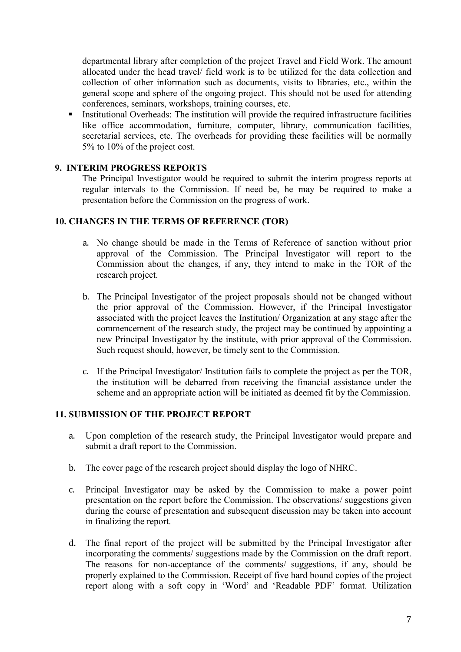departmental library after completion of the project Travel and Field Work. The amount allocated under the head travel/ field work is to be utilized for the data collection and collection of other information such as documents, visits to libraries, etc., within the general scope and sphere of the ongoing project. This should not be used for attending conferences, seminars, workshops, training courses, etc.

 Institutional Overheads: The institution will provide the required infrastructure facilities like office accommodation, furniture, computer, library, communication facilities, secretarial services, etc. The overheads for providing these facilities will be normally 5% to 10% of the project cost.

### 9. INTERIM PROGRESS REPORTS

The Principal Investigator would be required to submit the interim progress reports at regular intervals to the Commission. If need be, he may be required to make a presentation before the Commission on the progress of work.

#### 10. CHANGES IN THE TERMS OF REFERENCE (TOR)

- a. No change should be made in the Terms of Reference of sanction without prior approval of the Commission. The Principal Investigator will report to the Commission about the changes, if any, they intend to make in the TOR of the research project.
- b. The Principal Investigator of the project proposals should not be changed without the prior approval of the Commission. However, if the Principal Investigator associated with the project leaves the Institution/ Organization at any stage after the commencement of the research study, the project may be continued by appointing a new Principal Investigator by the institute, with prior approval of the Commission. Such request should, however, be timely sent to the Commission.
- c. If the Principal Investigator/ Institution fails to complete the project as per the TOR, the institution will be debarred from receiving the financial assistance under the scheme and an appropriate action will be initiated as deemed fit by the Commission.

# 11. SUBMISSION OF THE PROJECT REPORT

- a. Upon completion of the research study, the Principal Investigator would prepare and submit a draft report to the Commission.
- b. The cover page of the research project should display the logo of NHRC.
- c. Principal Investigator may be asked by the Commission to make a power point presentation on the report before the Commission. The observations/ suggestions given during the course of presentation and subsequent discussion may be taken into account in finalizing the report.
- d. The final report of the project will be submitted by the Principal Investigator after incorporating the comments/ suggestions made by the Commission on the draft report. The reasons for non-acceptance of the comments/ suggestions, if any, should be properly explained to the Commission. Receipt of five hard bound copies of the project report along with a soft copy in 'Word' and 'Readable PDF' format. Utilization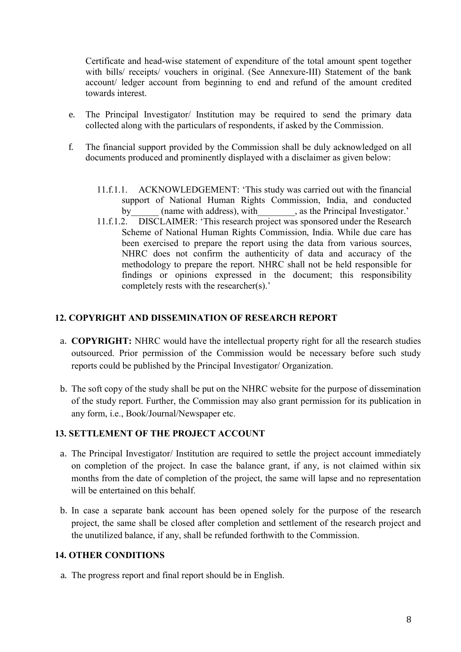Certificate and head-wise statement of expenditure of the total amount spent together with bills/ receipts/ vouchers in original. (See Annexure-III) Statement of the bank account/ ledger account from beginning to end and refund of the amount credited towards interest.

- e. The Principal Investigator/ Institution may be required to send the primary data collected along with the particulars of respondents, if asked by the Commission.
- f. The financial support provided by the Commission shall be duly acknowledged on all documents produced and prominently displayed with a disclaimer as given below:
	- 11.f.1.1. ACKNOWLEDGEMENT: 'This study was carried out with the financial support of National Human Rights Commission, India, and conducted by (name with address), with , as the Principal Investigator.'
	- 11.f.1.2. DISCLAIMER: 'This research project was sponsored under the Research Scheme of National Human Rights Commission, India. While due care has been exercised to prepare the report using the data from various sources, NHRC does not confirm the authenticity of data and accuracy of the methodology to prepare the report. NHRC shall not be held responsible for findings or opinions expressed in the document; this responsibility completely rests with the researcher(s).'

#### 12. COPYRIGHT AND DISSEMINATION OF RESEARCH REPORT

- a. COPYRIGHT: NHRC would have the intellectual property right for all the research studies outsourced. Prior permission of the Commission would be necessary before such study reports could be published by the Principal Investigator/ Organization.
- b. The soft copy of the study shall be put on the NHRC website for the purpose of dissemination of the study report. Further, the Commission may also grant permission for its publication in any form, i.e., Book/Journal/Newspaper etc.

### 13. SETTLEMENT OF THE PROJECT ACCOUNT

- a. The Principal Investigator/ Institution are required to settle the project account immediately on completion of the project. In case the balance grant, if any, is not claimed within six months from the date of completion of the project, the same will lapse and no representation will be entertained on this behalf.
- b. In case a separate bank account has been opened solely for the purpose of the research project, the same shall be closed after completion and settlement of the research project and the unutilized balance, if any, shall be refunded forthwith to the Commission.

# 14. OTHER CONDITIONS

a. The progress report and final report should be in English.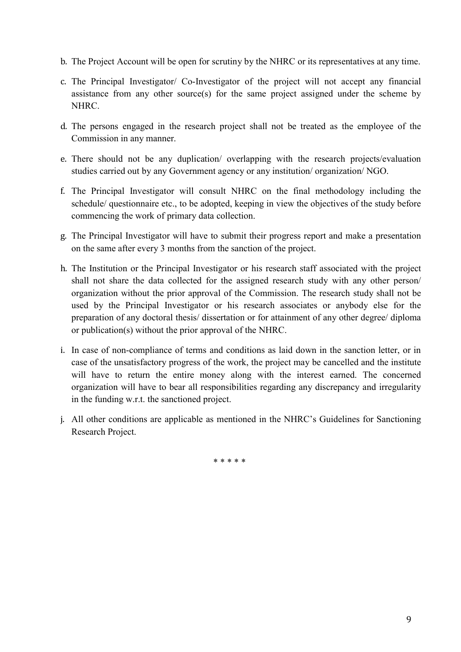- b. The Project Account will be open for scrutiny by the NHRC or its representatives at any time.
- c. The Principal Investigator/ Co-Investigator of the project will not accept any financial assistance from any other source(s) for the same project assigned under the scheme by NHRC.
- d. The persons engaged in the research project shall not be treated as the employee of the Commission in any manner.
- e. There should not be any duplication/ overlapping with the research projects/evaluation studies carried out by any Government agency or any institution/ organization/ NGO.
- f. The Principal Investigator will consult NHRC on the final methodology including the schedule/ questionnaire etc., to be adopted, keeping in view the objectives of the study before commencing the work of primary data collection.
- g. The Principal Investigator will have to submit their progress report and make a presentation on the same after every 3 months from the sanction of the project.
- h. The Institution or the Principal Investigator or his research staff associated with the project shall not share the data collected for the assigned research study with any other person/ organization without the prior approval of the Commission. The research study shall not be used by the Principal Investigator or his research associates or anybody else for the preparation of any doctoral thesis/ dissertation or for attainment of any other degree/ diploma or publication(s) without the prior approval of the NHRC.
- i. In case of non-compliance of terms and conditions as laid down in the sanction letter, or in case of the unsatisfactory progress of the work, the project may be cancelled and the institute will have to return the entire money along with the interest earned. The concerned organization will have to bear all responsibilities regarding any discrepancy and irregularity in the funding w.r.t. the sanctioned project.
- j. All other conditions are applicable as mentioned in the NHRC's Guidelines for Sanctioning Research Project.

\* \* \* \* \*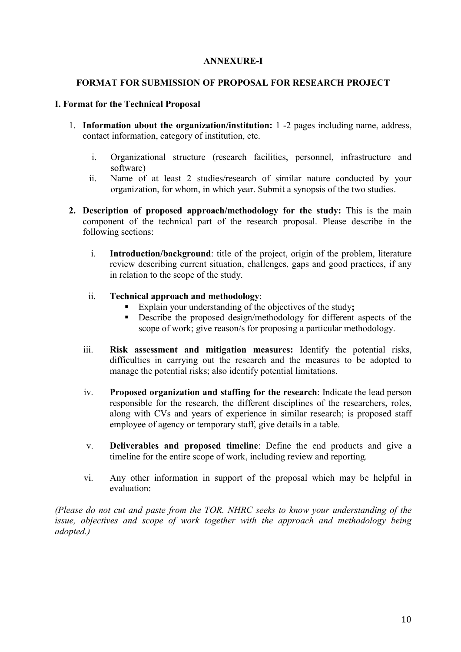#### ANNEXURE-I

#### FORMAT FOR SUBMISSION OF PROPOSAL FOR RESEARCH PROJECT

#### I. Format for the Technical Proposal

- 1. Information about the organization/institution: 1 -2 pages including name, address, contact information, category of institution, etc.
	- i. Organizational structure (research facilities, personnel, infrastructure and software)
	- ii. Name of at least 2 studies/research of similar nature conducted by your organization, for whom, in which year. Submit a synopsis of the two studies.
- 2. Description of proposed approach/methodology for the study: This is the main component of the technical part of the research proposal. Please describe in the following sections:
	- i. Introduction/background: title of the project, origin of the problem, literature review describing current situation, challenges, gaps and good practices, if any in relation to the scope of the study.
	- ii. Technical approach and methodology:
		- Explain your understanding of the objectives of the study;
		- **Describe the proposed design/methodology for different aspects of the** scope of work; give reason/s for proposing a particular methodology.
	- iii. Risk assessment and mitigation measures: Identify the potential risks, difficulties in carrying out the research and the measures to be adopted to manage the potential risks; also identify potential limitations.
	- iv. Proposed organization and staffing for the research: Indicate the lead person responsible for the research, the different disciplines of the researchers, roles, along with CVs and years of experience in similar research; is proposed staff employee of agency or temporary staff, give details in a table.
	- v. Deliverables and proposed timeline: Define the end products and give a timeline for the entire scope of work, including review and reporting.
	- vi. Any other information in support of the proposal which may be helpful in evaluation:

(Please do not cut and paste from the TOR. NHRC seeks to know your understanding of the issue, objectives and scope of work together with the approach and methodology being adopted.)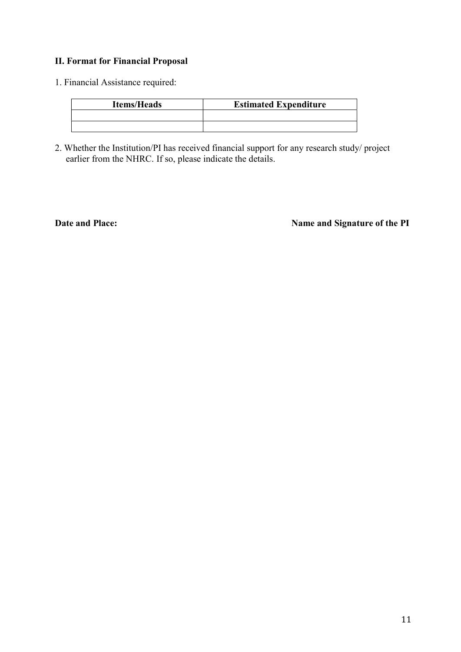# II. Format for Financial Proposal

1. Financial Assistance required:

| <b>Items/Heads</b> | <b>Estimated Expenditure</b> |
|--------------------|------------------------------|
|                    |                              |
|                    |                              |

2. Whether the Institution/PI has received financial support for any research study/ project earlier from the NHRC. If so, please indicate the details.

Date and Place: Name and Signature of the PI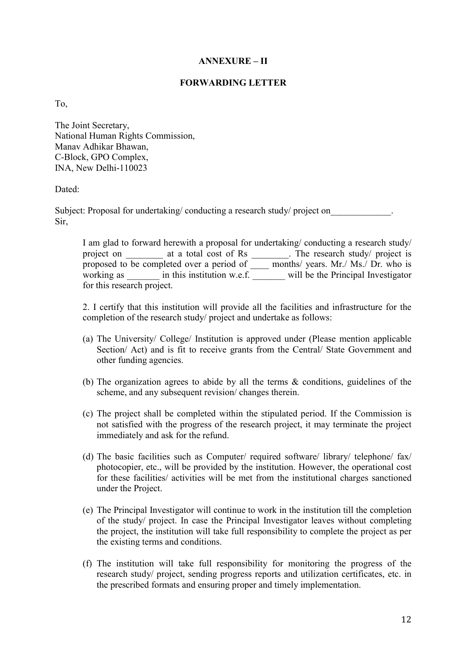#### ANNEXURE – II

#### FORWARDING LETTER

To,

The Joint Secretary, National Human Rights Commission, Manav Adhikar Bhawan, C-Block, GPO Complex, INA, New Delhi-110023

#### Dated:

Subject: Proposal for undertaking/ conducting a research study/ project on Sir,

I am glad to forward herewith a proposal for undertaking/ conducting a research study/ project on \_\_\_\_\_\_\_\_ at a total cost of Rs \_\_\_\_\_\_\_. The research study/ project is proposed to be completed over a period of \_\_\_\_\_ months/ years. Mr./ Ms./ Dr. who is working as  $\qquad$  in this institution w.e.f.  $\qquad$  will be the Principal Investigator for this research project.

2. I certify that this institution will provide all the facilities and infrastructure for the completion of the research study/ project and undertake as follows:

- (a) The University/ College/ Institution is approved under (Please mention applicable Section/ Act) and is fit to receive grants from the Central/ State Government and other funding agencies.
- (b) The organization agrees to abide by all the terms & conditions, guidelines of the scheme, and any subsequent revision/ changes therein.
- (c) The project shall be completed within the stipulated period. If the Commission is not satisfied with the progress of the research project, it may terminate the project immediately and ask for the refund.
- (d) The basic facilities such as Computer/ required software/ library/ telephone/ fax/ photocopier, etc., will be provided by the institution. However, the operational cost for these facilities/ activities will be met from the institutional charges sanctioned under the Project.
- (e) The Principal Investigator will continue to work in the institution till the completion of the study/ project. In case the Principal Investigator leaves without completing the project, the institution will take full responsibility to complete the project as per the existing terms and conditions.
- (f) The institution will take full responsibility for monitoring the progress of the research study/ project, sending progress reports and utilization certificates, etc. in the prescribed formats and ensuring proper and timely implementation.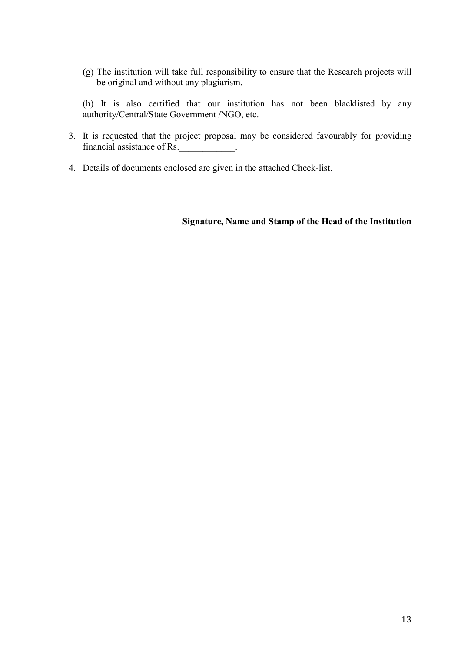(g) The institution will take full responsibility to ensure that the Research projects will be original and without any plagiarism.

(h) It is also certified that our institution has not been blacklisted by any authority/Central/State Government /NGO, etc.

- 3. It is requested that the project proposal may be considered favourably for providing financial assistance of Rs.
- 4. Details of documents enclosed are given in the attached Check-list.

#### Signature, Name and Stamp of the Head of the Institution